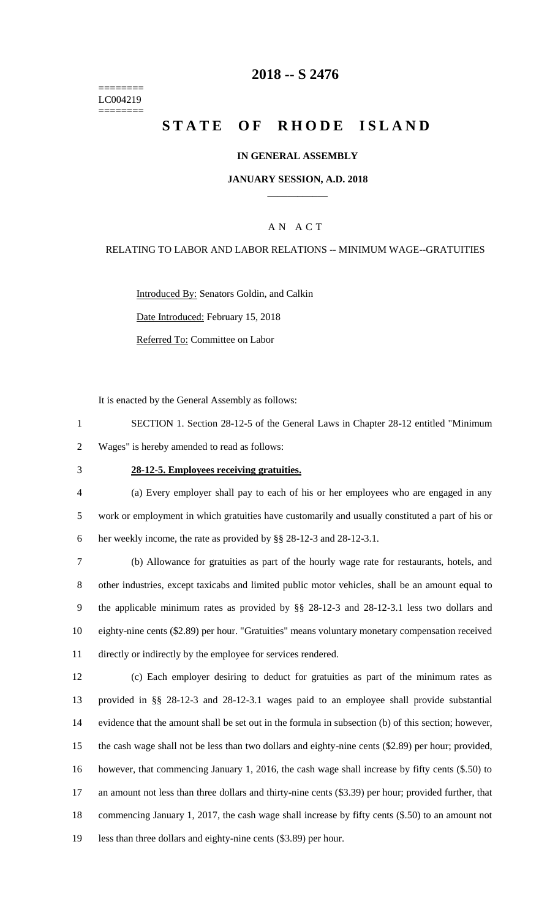======== LC004219 ========

## **-- S 2476**

# **STATE OF RHODE ISLAND**

### **IN GENERAL ASSEMBLY**

### **JANUARY SESSION, A.D. 2018 \_\_\_\_\_\_\_\_\_\_\_\_**

### A N A C T

#### RELATING TO LABOR AND LABOR RELATIONS -- MINIMUM WAGE--GRATUITIES

Introduced By: Senators Goldin, and Calkin Date Introduced: February 15, 2018

Referred To: Committee on Labor

It is enacted by the General Assembly as follows:

 SECTION 1. Section 28-12-5 of the General Laws in Chapter 28-12 entitled "Minimum Wages" is hereby amended to read as follows:

#### **28-12-5. Employees receiving gratuities.**

 (a) Every employer shall pay to each of his or her employees who are engaged in any work or employment in which gratuities have customarily and usually constituted a part of his or her weekly income, the rate as provided by §§ 28-12-3 and 28-12-3.1.

 (b) Allowance for gratuities as part of the hourly wage rate for restaurants, hotels, and other industries, except taxicabs and limited public motor vehicles, shall be an amount equal to the applicable minimum rates as provided by §§ 28-12-3 and 28-12-3.1 less two dollars and eighty-nine cents (\$2.89) per hour. "Gratuities" means voluntary monetary compensation received directly or indirectly by the employee for services rendered.

 (c) Each employer desiring to deduct for gratuities as part of the minimum rates as provided in §§ 28-12-3 and 28-12-3.1 wages paid to an employee shall provide substantial evidence that the amount shall be set out in the formula in subsection (b) of this section; however, the cash wage shall not be less than two dollars and eighty-nine cents (\$2.89) per hour; provided, however, that commencing January 1, 2016, the cash wage shall increase by fifty cents (\$.50) to an amount not less than three dollars and thirty-nine cents (\$3.39) per hour; provided further, that commencing January 1, 2017, the cash wage shall increase by fifty cents (\$.50) to an amount not less than three dollars and eighty-nine cents (\$3.89) per hour.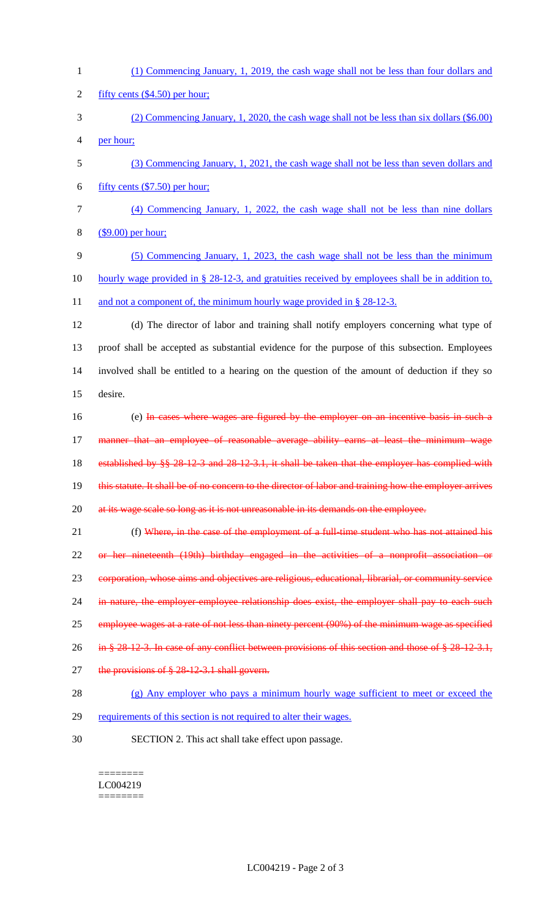| $\mathbf{1}$   | (1) Commencing January, 1, 2019, the cash wage shall not be less than four dollars and                 |
|----------------|--------------------------------------------------------------------------------------------------------|
| $\overline{2}$ | fifty cents $(\$4.50)$ per hour;                                                                       |
| 3              | (2) Commencing January, 1, 2020, the cash wage shall not be less than six dollars (\$6.00)             |
| 4              | per hour;                                                                                              |
| 5              | (3) Commencing January, 1, 2021, the cash wage shall not be less than seven dollars and                |
| 6              | fifty cents $(\$7.50)$ per hour;                                                                       |
| 7              | (4) Commencing January, 1, 2022, the cash wage shall not be less than nine dollars                     |
| 8              | $($9.00)$ per hour;                                                                                    |
| 9              | (5) Commencing January, 1, 2023, the cash wage shall not be less than the minimum                      |
| 10             | hourly wage provided in $\S 28-12-3$ , and gratuities received by employees shall be in addition to,   |
| 11             | and not a component of, the minimum hourly wage provided in $\S 28-12-3$ .                             |
| 12             | (d) The director of labor and training shall notify employers concerning what type of                  |
| 13             | proof shall be accepted as substantial evidence for the purpose of this subsection. Employees          |
| 14             | involved shall be entitled to a hearing on the question of the amount of deduction if they so          |
| 15             | desire.                                                                                                |
| 16             | (e) In cases where wages are figured by the employer on an incentive basis in such a                   |
| 17             | manner that an employee of reasonable average ability earns at least the minimum wage                  |
| 18             | established by §§ 28-12-3 and 28-12-3.1, it shall be taken that the employer has complied with         |
| 19             | this statute. It shall be of no concern to the director of labor and training how the employer arrives |
| 20             | at its wage scale so long as it is not unreasonable in its demands on the employee.                    |
| 21             | (f) Where, in the case of the employment of a full-time student who has not attained his               |
| 22             | or her nineteenth (19th) birthday engaged in the activities of a nonprofit association or              |
| 23             | corporation, whose aims and objectives are religious, educational, librarial, or community service     |
| 24             | in nature, the employer employee relationship does exist, the employer shall pay to each such          |
| 25             | employee wages at a rate of not less than ninety percent (90%) of the minimum wage as specified        |
| 26             | in § 28-12-3. In case of any conflict between provisions of this section and those of § 28-12-3.1,     |
| 27             | the provisions of $§$ 28-12-3.1 shall govern.                                                          |
| 28             | (g) Any employer who pays a minimum hourly wage sufficient to meet or exceed the                       |
| 29             | requirements of this section is not required to alter their wages.                                     |
| 30             | SECTION 2. This act shall take effect upon passage.                                                    |
|                |                                                                                                        |
|                |                                                                                                        |

LC004219  $\begin{minipage}{0.9\linewidth} \begin{tabular}{l} \hline \textbf{r} & \textbf{r} \\ \hline \textbf{r} & \textbf{r} \\ \hline \textbf{r} & \textbf{r} \\ \hline \textbf{r} & \textbf{r} \\ \hline \textbf{r} & \textbf{r} \\ \hline \textbf{r} & \textbf{r} \\ \hline \textbf{r} & \textbf{r} \\ \hline \textbf{r} & \textbf{r} \\ \hline \textbf{r} & \textbf{r} \\ \hline \textbf{r} & \textbf{r} \\ \hline \textbf{r} & \textbf{r} \\ \hline \textbf{r} & \text$